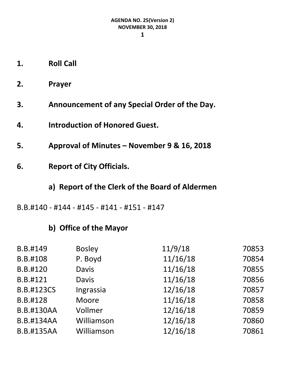- **1. Roll Call**
- **2. Prayer**
- **3. Announcement of any Special Order of the Day.**
- **4. Introduction of Honored Guest.**
- **5. Approval of Minutes – November 9 & 16, 2018**
- **6. Report of City Officials.**
	- **a) Report of the Clerk of the Board of Aldermen**
- B.B.#140 #144 #145 #141 #151 #147

# **b) Office of the Mayor**

| B.B.#149          | <b>Bosley</b> | 11/9/18  | 70853 |
|-------------------|---------------|----------|-------|
| B.B.#108          | P. Boyd       | 11/16/18 | 70854 |
| B.B.#120          | <b>Davis</b>  | 11/16/18 | 70855 |
| B.B.#121          | <b>Davis</b>  | 11/16/18 | 70856 |
| <b>B.B.#123CS</b> | Ingrassia     | 12/16/18 | 70857 |
| B.B.#128          | Moore         | 11/16/18 | 70858 |
| <b>B.B.#130AA</b> | Vollmer       | 12/16/18 | 70859 |
| <b>B.B.#134AA</b> | Williamson    | 12/16/18 | 70860 |
| <b>B.B.#135AA</b> | Williamson    | 12/16/18 | 70861 |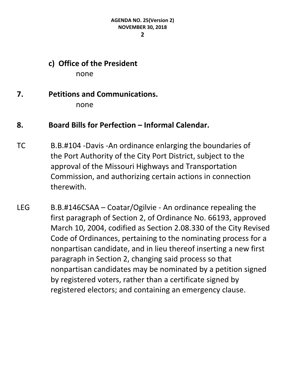**2**

### **c) Office of the President** none

# **7. Petitions and Communications.** none

# **8. Board Bills for Perfection – Informal Calendar.**

- TC B.B.#104 -Davis -An ordinance enlarging the boundaries of the Port Authority of the City Port District, subject to the approval of the Missouri Highways and Transportation Commission, and authorizing certain actions in connection therewith.
- LEG B.B.#146CSAA Coatar/Ogilvie An ordinance repealing the first paragraph of Section 2, of Ordinance No. 66193, approved March 10, 2004, codified as Section 2.08.330 of the City Revised Code of Ordinances, pertaining to the nominating process for a nonpartisan candidate, and in lieu thereof inserting a new first paragraph in Section 2, changing said process so that nonpartisan candidates may be nominated by a petition signed by registered voters, rather than a certificate signed by registered electors; and containing an emergency clause.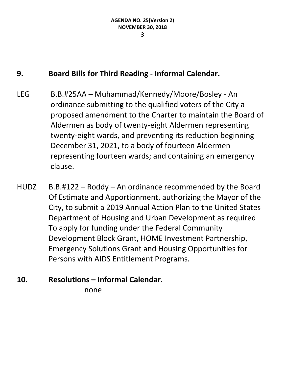# **9. Board Bills for Third Reading - Informal Calendar.**

- LEG B.B.#25AA Muhammad/Kennedy/Moore/Bosley An ordinance submitting to the qualified voters of the City a proposed amendment to the Charter to maintain the Board of Aldermen as body of twenty-eight Aldermen representing twenty-eight wards, and preventing its reduction beginning December 31, 2021, to a body of fourteen Aldermen representing fourteen wards; and containing an emergency clause.
- $HUDZ$  B.B.#122 Roddy An ordinance recommended by the Board Of Estimate and Apportionment, authorizing the Mayor of the City, to submit a 2019 Annual Action Plan to the United States Department of Housing and Urban Development as required To apply for funding under the Federal Community Development Block Grant, HOME Investment Partnership, Emergency Solutions Grant and Housing Opportunities for Persons with AIDS Entitlement Programs.
- **10. Resolutions – Informal Calendar.**

none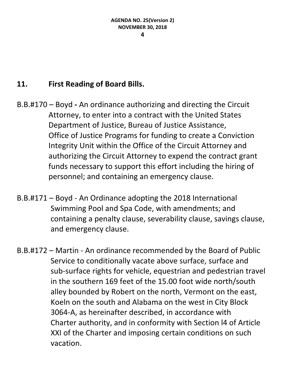# **11. First Reading of Board Bills.**

B.B.#170 – Boyd **-** An ordinance authorizing and directing the Circuit Attorney, to enter into a contract with the United States Department of Justice, Bureau of Justice Assistance, Office of Justice Programs for funding to create a Conviction Integrity Unit within the Office of the Circuit Attorney and authorizing the Circuit Attorney to expend the contract grant funds necessary to support this effort including the hiring of personnel; and containing an emergency clause.

- B.B.#171 Boyd An Ordinance adopting the 2018 International Swimming Pool and Spa Code, with amendments; and containing a penalty clause, severability clause, savings clause, and emergency clause.
- B.B.#172 Martin An ordinance recommended by the Board of Public Service to conditionally vacate above surface, surface and sub-surface rights for vehicle, equestrian and pedestrian travel in the southern 169 feet of the 15.00 foot wide north/south alley bounded by Robert on the north, Vermont on the east, Koeln on the south and Alabama on the west in City Block 3064-A, as hereinafter described, in accordance with Charter authority, and in conformity with Section l4 of Article XXI of the Charter and imposing certain conditions on such vacation.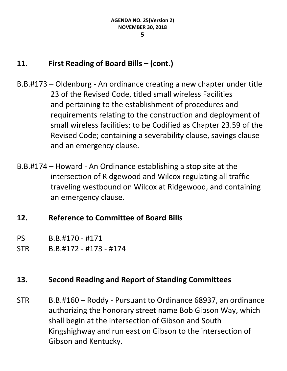# **11. First Reading of Board Bills – (cont.)**

- B.B.#173 Oldenburg An ordinance creating a new chapter under title 23 of the Revised Code, titled small wireless Facilities and pertaining to the establishment of procedures and requirements relating to the construction and deployment of small wireless facilities; to be Codified as Chapter 23.59 of the Revised Code; containing a severability clause, savings clause and an emergency clause.
- B.B.#174 Howard An Ordinance establishing a stop site at the intersection of Ridgewood and Wilcox regulating all traffic traveling westbound on Wilcox at Ridgewood, and containing an emergency clause.

# **12. Reference to Committee of Board Bills**

- PS B.B.#170 #171
- STR B.B.#172 #173 #174

# **13. Second Reading and Report of Standing Committees**

STR B.B.#160 – Roddy - Pursuant to Ordinance 68937, an ordinance authorizing the honorary street name Bob Gibson Way, which shall begin at the intersection of Gibson and South Kingshighway and run east on Gibson to the intersection of Gibson and Kentucky.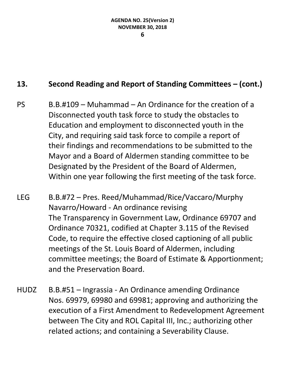#### **6**

- PS B.B.#109 Muhammad An Ordinance for the creation of a Disconnected youth task force to study the obstacles to Education and employment to disconnected youth in the City, and requiring said task force to compile a report of their findings and recommendations to be submitted to the Mayor and a Board of Aldermen standing committee to be Designated by the President of the Board of Aldermen, Within one year following the first meeting of the task force.
- LEG B.B.#72 Pres. Reed/Muhammad/Rice/Vaccaro/Murphy Navarro/Howard - An ordinance revising The Transparency in Government Law, Ordinance 69707 and Ordinance 70321, codified at Chapter 3.115 of the Revised Code, to require the effective closed captioning of all public meetings of the St. Louis Board of Aldermen, including committee meetings; the Board of Estimate & Apportionment; and the Preservation Board.
- HUDZ B.B.#51 Ingrassia An Ordinance amending Ordinance Nos. 69979, 69980 and 69981; approving and authorizing the execution of a First Amendment to Redevelopment Agreement between The City and ROL Capital III, Inc.; authorizing other related actions; and containing a Severability Clause.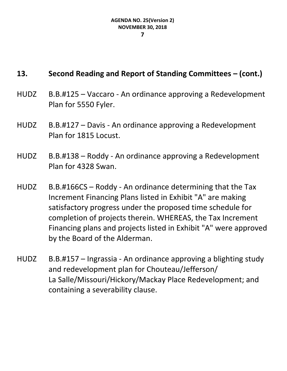- HUDZ B.B.#125 Vaccaro An ordinance approving a Redevelopment Plan for 5550 Fyler.
- HUDZ B.B.#127 Davis An ordinance approving a Redevelopment Plan for 1815 Locust.
- HUDZ B.B.#138 Roddy An ordinance approving a Redevelopment Plan for 4328 Swan.
- HUDZ B.B.#166CS Roddy An ordinance determining that the Tax Increment Financing Plans listed in Exhibit "A" are making satisfactory progress under the proposed time schedule for completion of projects therein. WHEREAS, the Tax Increment Financing plans and projects listed in Exhibit "A" were approved by the Board of the Alderman.
- HUDZ B.B.#157 Ingrassia An ordinance approving a blighting study and redevelopment plan for Chouteau/Jefferson/ La Salle/Missouri/Hickory/Mackay Place Redevelopment; and containing a severability clause.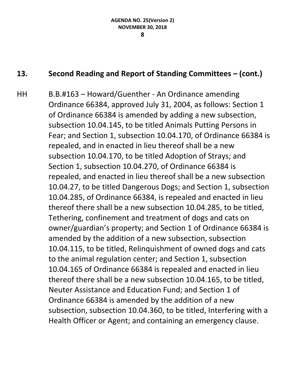#### **8**

# **13. Second Reading and Report of Standing Committees – (cont.)**

HH B.B.#163 – Howard/Guenther - An Ordinance amending Ordinance 66384, approved July 31, 2004, as follows: Section 1 of Ordinance 66384 is amended by adding a new subsection, subsection 10.04.145, to be titled Animals Putting Persons in Fear; and Section 1, subsection 10.04.170, of Ordinance 66384 is repealed, and in enacted in lieu thereof shall be a new subsection 10.04.170, to be titled Adoption of Strays; and Section 1, subsection 10.04.270, of Ordinance 66384 is repealed, and enacted in lieu thereof shall be a new subsection 10.04.27, to be titled Dangerous Dogs; and Section 1, subsection 10.04.285, of Ordinance 66384, is repealed and enacted in lieu thereof there shall be a new subsection 10.04.285, to be titled, Tethering, confinement and treatment of dogs and cats on owner/guardian's property; and Section 1 of Ordinance 66384 is amended by the addition of a new subsection, subsection 10.04.115, to be titled, Relinquishment of owned dogs and cats to the animal regulation center; and Section 1, subsection 10.04.165 of Ordinance 66384 is repealed and enacted in lieu thereof there shall be a new subsection 10.04.165, to be titled, Neuter Assistance and Education Fund; and Section 1 of Ordinance 66384 is amended by the addition of a new subsection, subsection 10.04.360, to be titled, Interfering with a Health Officer or Agent; and containing an emergency clause.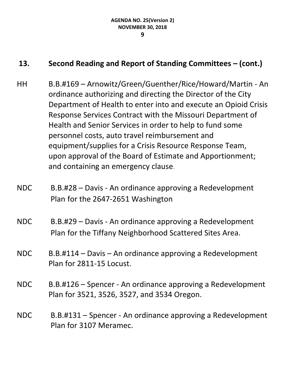- HH B.B.#169 Arnowitz/Green/Guenther/Rice/Howard/Martin An ordinance authorizing and directing the Director of the City Department of Health to enter into and execute an Opioid Crisis Response Services Contract with the Missouri Department of Health and Senior Services in order to help to fund some personnel costs, auto travel reimbursement and equipment/supplies for a Crisis Resource Response Team, upon approval of the Board of Estimate and Apportionment; and containing an emergency clause.
- NDC B.B.#28 Davis An ordinance approving a Redevelopment Plan for the 2647-2651 Washington
- NDC B.B.#29 Davis An ordinance approving a Redevelopment Plan for the Tiffany Neighborhood Scattered Sites Area.
- NDC B.B.#114 Davis An ordinance approving a Redevelopment Plan for 2811-15 Locust.
- NDC B.B.#126 Spencer An ordinance approving a Redevelopment Plan for 3521, 3526, 3527, and 3534 Oregon.
- NDC B.B.#131 Spencer An ordinance approving a Redevelopment Plan for 3107 Meramec.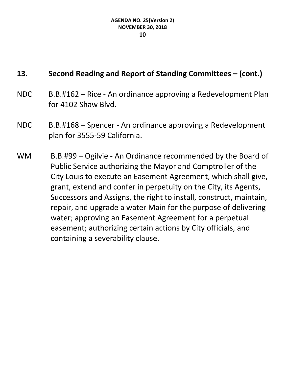- NDC B.B.#162 Rice An ordinance approving a Redevelopment Plan for 4102 Shaw Blvd.
- NDC B.B.#168 Spencer An ordinance approving a Redevelopment plan for 3555-59 California.
- WM B.B.#99 Ogilvie An Ordinance recommended by the Board of Public Service authorizing the Mayor and Comptroller of the City Louis to execute an Easement Agreement, which shall give, grant, extend and confer in perpetuity on the City, its Agents, Successors and Assigns, the right to install, construct, maintain, repair, and upgrade a water Main for the purpose of delivering water; approving an Easement Agreement for a perpetual easement; authorizing certain actions by City officials, and containing a severability clause.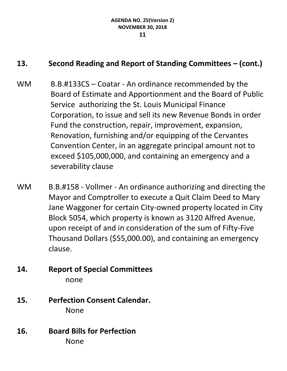- WM B.B.#133CS Coatar An ordinance recommended by the Board of Estimate and Apportionment and the Board of Public Service authorizing the St. Louis Municipal Finance Corporation, to issue and sell its new Revenue Bonds in order Fund the construction, repair, improvement, expansion, Renovation, furnishing and/or equipping of the Cervantes Convention Center, in an aggregate principal amount not to exceed \$105,000,000, and containing an emergency and a severability clause
- WM B.B.#158 Vollmer An ordinance authorizing and directing the Mayor and Comptroller to execute a Quit Claim Deed to Mary Jane Waggoner for certain City-owned property located in City Block 5054, which property is known as 3120 Alfred Avenue, upon receipt of and in consideration of the sum of Fifty-Five Thousand Dollars (\$55,000.00), and containing an emergency clause.
- **14. Report of Special Committees** none
- **15. Perfection Consent Calendar.** None
- **16. Board Bills for Perfection** None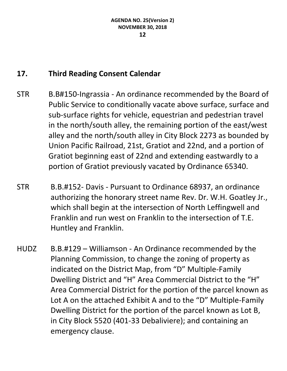# **17. Third Reading Consent Calendar**

- STR B.B#150-Ingrassia An ordinance recommended by the Board of Public Service to conditionally vacate above surface, surface and sub-surface rights for vehicle, equestrian and pedestrian travel in the north/south alley, the remaining portion of the east/west alley and the north/south alley in City Block 2273 as bounded by Union Pacific Railroad, 21st, Gratiot and 22nd, and a portion of Gratiot beginning east of 22nd and extending eastwardly to a portion of Gratiot previously vacated by Ordinance 65340.
- STR B.B.#152- Davis Pursuant to Ordinance 68937, an ordinance authorizing the honorary street name Rev. Dr. W.H. Goatley Jr., which shall begin at the intersection of North Leffingwell and Franklin and run west on Franklin to the intersection of T.E. Huntley and Franklin.
- HUDZ B.B.#129 Williamson An Ordinance recommended by the Planning Commission, to change the zoning of property as indicated on the District Map, from "D" Multiple-Family Dwelling District and "H" Area Commercial District to the "H" Area Commercial District for the portion of the parcel known as Lot A on the attached Exhibit A and to the "D" Multiple-Family Dwelling District for the portion of the parcel known as Lot B, in City Block 5520 (401-33 Debaliviere); and containing an emergency clause.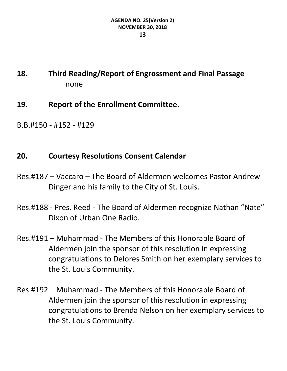# **18. Third Reading/Report of Engrossment and Final Passage** none

- **19. Report of the Enrollment Committee.**
- B.B.#150 #152 #129

# **20. Courtesy Resolutions Consent Calendar**

- Res.#187 Vaccaro The Board of Aldermen welcomes Pastor Andrew Dinger and his family to the City of St. Louis.
- Res.#188 Pres. Reed The Board of Aldermen recognize Nathan "Nate" Dixon of Urban One Radio.
- Res.#191 Muhammad The Members of this Honorable Board of Aldermen join the sponsor of this resolution in expressing congratulations to Delores Smith on her exemplary services to the St. Louis Community.
- Res.#192 Muhammad The Members of this Honorable Board of Aldermen join the sponsor of this resolution in expressing congratulations to Brenda Nelson on her exemplary services to the St. Louis Community.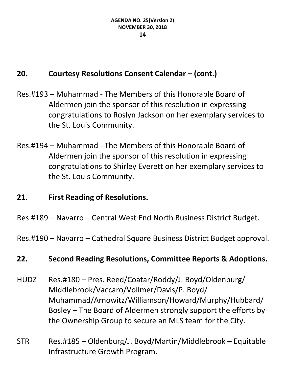# **20. Courtesy Resolutions Consent Calendar – (cont.)**

- Res.#193 Muhammad The Members of this Honorable Board of Aldermen join the sponsor of this resolution in expressing congratulations to Roslyn Jackson on her exemplary services to the St. Louis Community.
- Res.#194 Muhammad The Members of this Honorable Board of Aldermen join the sponsor of this resolution in expressing congratulations to Shirley Everett on her exemplary services to the St. Louis Community.

# **21. First Reading of Resolutions.**

Res.#189 – Navarro – Central West End North Business District Budget.

Res.#190 – Navarro – Cathedral Square Business District Budget approval.

# **22. Second Reading Resolutions, Committee Reports & Adoptions.**

- HUDZ Res.#180 Pres. Reed/Coatar/Roddy/J. Boyd/Oldenburg/ Middlebrook/Vaccaro/Vollmer/Davis/P. Boyd/ Muhammad/Arnowitz/Williamson/Howard/Murphy/Hubbard/ Bosley – The Board of Aldermen strongly support the efforts by the Ownership Group to secure an MLS team for the City.
- STR Res.#185 Oldenburg/J. Boyd/Martin/Middlebrook Equitable Infrastructure Growth Program.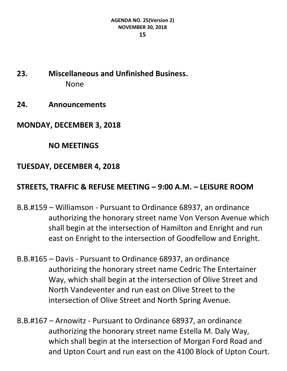- **23. Miscellaneous and Unfinished Business.** None
- **24. Announcements**
- **MONDAY, DECEMBER 3, 2018**

# **NO MEETINGS**

# **TUESDAY, DECEMBER 4, 2018**

# **STREETS, TRAFFIC & REFUSE MEETING – 9:00 A.M. – LEISURE ROOM**

- B.B.#159 Williamson Pursuant to Ordinance 68937, an ordinance authorizing the honorary street name Von Verson Avenue which shall begin at the intersection of Hamilton and Enright and run east on Enright to the intersection of Goodfellow and Enright.
- B.B.#165 Davis Pursuant to Ordinance 68937, an ordinance authorizing the honorary street name Cedric The Entertainer Way, which shall begin at the intersection of Olive Street and North Vandeventer and run east on Olive Street to the intersection of Olive Street and North Spring Avenue.
- B.B.#167 Arnowitz Pursuant to Ordinance 68937, an ordinance authorizing the honorary street name Estella M. Daly Way, which shall begin at the intersection of Morgan Ford Road and and Upton Court and run east on the 4100 Block of Upton Court.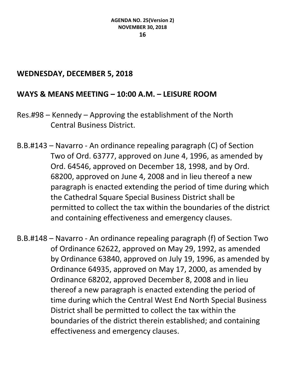## **WEDNESDAY, DECEMBER 5, 2018**

## **WAYS & MEANS MEETING – 10:00 A.M. – LEISURE ROOM**

- Res.#98 Kennedy Approving the establishment of the North Central Business District.
- B.B.#143 Navarro An ordinance repealing paragraph (C) of Section Two of Ord. 63777, approved on June 4, 1996, as amended by Ord. 64546, approved on December 18, 1998, and by Ord. 68200, approved on June 4, 2008 and in lieu thereof a new paragraph is enacted extending the period of time during which the Cathedral Square Special Business District shall be permitted to collect the tax within the boundaries of the district and containing effectiveness and emergency clauses.
- B.B.#148 Navarro An ordinance repealing paragraph (f) of Section Two of Ordinance 62622, approved on May 29, 1992, as amended by Ordinance 63840, approved on July 19, 1996, as amended by Ordinance 64935, approved on May 17, 2000, as amended by Ordinance 68202, approved December 8, 2008 and in lieu thereof a new paragraph is enacted extending the period of time during which the Central West End North Special Business District shall be permitted to collect the tax within the boundaries of the district therein established; and containing effectiveness and emergency clauses.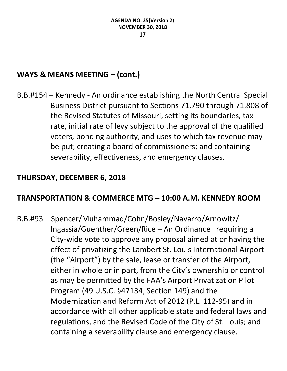# **WAYS & MEANS MEETING – (cont.)**

B.B.#154 – Kennedy - An ordinance establishing the North Central Special Business District pursuant to Sections 71.790 through 71.808 of the Revised Statutes of Missouri, setting its boundaries, tax rate, initial rate of levy subject to the approval of the qualified voters, bonding authority, and uses to which tax revenue may be put; creating a board of commissioners; and containing severability, effectiveness, and emergency clauses.

# **THURSDAY, DECEMBER 6, 2018**

# **TRANSPORTATION & COMMERCE MTG – 10:00 A.M. KENNEDY ROOM**

B.B.#93 – Spencer/Muhammad/Cohn/Bosley/Navarro/Arnowitz/ Ingassia/Guenther/Green/Rice – An Ordinance requiring a City-wide vote to approve any proposal aimed at or having the effect of privatizing the Lambert St. Louis International Airport (the "Airport") by the sale, lease or transfer of the Airport, either in whole or in part, from the City's ownership or control as may be permitted by the FAA's Airport Privatization Pilot Program (49 U.S.C. §47134; Section 149) and the Modernization and Reform Act of 2012 (P.L. 112-95) and in accordance with all other applicable state and federal laws and regulations, and the Revised Code of the City of St. Louis; and containing a severability clause and emergency clause.